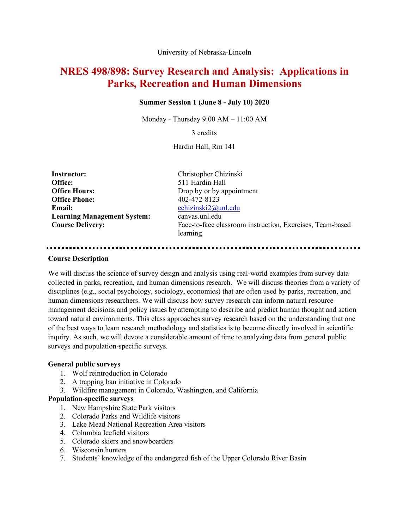University of Nebraska-Lincoln

# **NRES 498/898: Survey Research and Analysis: Applications in Parks, Recreation and Human Dimensions**

### **Summer Session 1 (June 8 - July 10) 2020**

Monday - Thursday 9:00 AM – 11:00 AM

3 credits

Hardin Hall, Rm 141

| <b>Instructor:</b>                 |
|------------------------------------|
| Office:                            |
| <b>Office Hours:</b>               |
| <b>Office Phone:</b>               |
| Email:                             |
| <b>Learning Management System:</b> |
| <b>Course Delivery:</b>            |

**Instructor:** Christopher Chizinski **Office:** 511 Hardin Hall Drop by or by appointment **Office Phone:** 402-472-8123 **Email:** cchizinski2@unl.edu **Learning Management System:** canvas.unl.edu Face-to-face classroom instruction, Exercises, Team-based learning

#### **Course Description**

We will discuss the science of survey design and analysis using real-world examples from survey data collected in parks, recreation, and human dimensions research. We will discuss theories from a variety of disciplines (e.g., social psychology, sociology, economics) that are often used by parks, recreation, and human dimensions researchers. We will discuss how survey research can inform natural resource management decisions and policy issues by attempting to describe and predict human thought and action toward natural environments. This class approaches survey research based on the understanding that one of the best ways to learn research methodology and statistics is to become directly involved in scientific inquiry. As such, we will devote a considerable amount of time to analyzing data from general public surveys and population-specific surveys.

#### **General public surveys**

- 1. Wolf reintroduction in Colorado
- 2. A trapping ban initiative in Colorado
- 3. Wildfire management in Colorado, Washington, and California

# **Population-specific surveys**

- 1. New Hampshire State Park visitors
- 2. Colorado Parks and Wildlife visitors
- 3. Lake Mead National Recreation Area visitors
- 4. Columbia Icefield visitors
- 5. Colorado skiers and snowboarders
- 6. Wisconsin hunters
- 7. Students' knowledge of the endangered fish of the Upper Colorado River Basin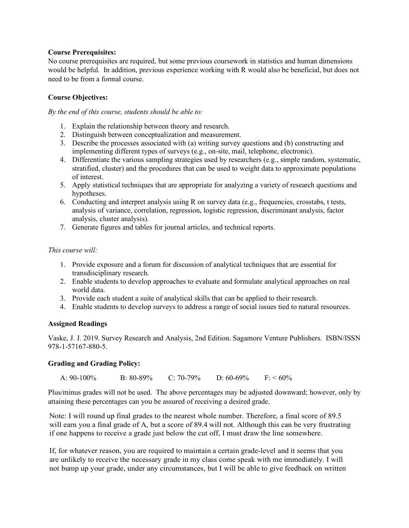# **Course Prerequisites:**

No course prerequisites are required, but some previous coursework in statistics and human dimensions would be helpful. In addition, previous experience working with R would also be beneficial, but does not need to be from a formal course.

# **Course Objectives:**

*By the end of this course, students should be able to:*

- 1. Explain the relationship between theory and research.
- 2. Distinguish between conceptualization and measurement.
- 3. Describe the processes associated with (a) writing survey questions and (b) constructing and implementing different types of surveys (e.g., on-site, mail, telephone, electronic).
- 4. Differentiate the various sampling strategies used by researchers (e.g., simple random, systematic, stratified, cluster) and the procedures that can be used to weight data to approximate populations of interest.
- 5. Apply statistical techniques that are appropriate for analyzing a variety of research questions and hypotheses.
- 6. Conducting and interpret analysis using R on survey data (e.g., frequencies, crosstabs, t tests, analysis of variance, correlation, regression, logistic regression, discriminant analysis, factor analysis, cluster analysis).
- 7. Generate figures and tables for journal articles, and technical reports.

# *This course will:*

- 1. Provide exposure and a forum for discussion of analytical techniques that are essential for transdisciplinary research.
- 2. Enable students to develop approaches to evaluate and formulate analytical approaches on real world data.
- 3. Provide each student a suite of analytical skills that can be applied to their research.
- 4. Enable students to develop surveys to address a range of social issues tied to natural resources.

# **Assigned Readings**

Vaske, J. J. 2019. Survey Research and Analysis, 2nd Edition. Sagamore Venture Publishers. ISBN/ISSN 978-1-57167-880-5.

# **Grading and Grading Policy:**

```
A: 90-100\% B: 80-89\% C: 70-79\% D: 60-69\% F: < 60\%
```
Plus/minus grades will not be used. The above percentages may be adjusted downward; however, only by attaining these percentages can you be assured of receiving a desired grade.

Note: I will round up final grades to the nearest whole number. Therefore, a final score of 89.5 will earn you a final grade of A, but a score of 89.4 will not. Although this can be very frustrating if one happens to receive a grade just below the cut off, I must draw the line somewhere.

If, for whatever reason, you are required to maintain a certain grade-level and it seems that you are unlikely to receive the necessary grade in my class come speak with me immediately. I will not bump up your grade, under any circumstances, but I will be able to give feedback on written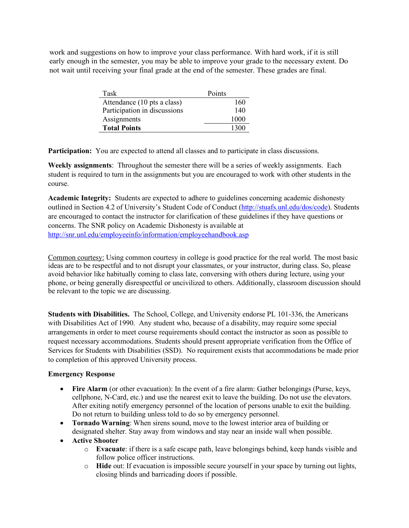work and suggestions on how to improve your class performance. With hard work, if it is still early enough in the semester, you may be able to improve your grade to the necessary extent. Do not wait until receiving your final grade at the end of the semester. These grades are final.

| Task                         | Points |
|------------------------------|--------|
| Attendance (10 pts a class)  | 160    |
| Participation in discussions | 140    |
| Assignments                  | 1000   |
| <b>Total Points</b>          | 1300   |

**Participation:** You are expected to attend all classes and to participate in class discussions.

**Weekly assignments**: Throughout the semester there will be a series of weekly assignments. Each student is required to turn in the assignments but you are encouraged to work with other students in the course.

**Academic Integrity:** Students are expected to adhere to guidelines concerning academic dishonesty outlined in Section 4.2 of University's Student Code of Conduct (http://stuafs.unl.edu/dos/code). Students are encouraged to contact the instructor for clarification of these guidelines if they have questions or concerns. The SNR policy on Academic Dishonesty is available at http://snr.unl.edu/employeeinfo/information/employeehandbook.asp

Common courtesy: Using common courtesy in college is good practice for the real world. The most basic ideas are to be respectful and to not disrupt your classmates, or your instructor, during class. So, please avoid behavior like habitually coming to class late, conversing with others during lecture, using your phone, or being generally disrespectful or uncivilized to others. Additionally, classroom discussion should be relevant to the topic we are discussing.

**Students with Disabilities.** The School, College, and University endorse PL 101-336, the Americans with Disabilities Act of 1990. Any student who, because of a disability, may require some special arrangements in order to meet course requirements should contact the instructor as soon as possible to request necessary accommodations. Students should present appropriate verification from the Office of Services for Students with Disabilities (SSD). No requirement exists that accommodations be made prior to completion of this approved University process.

# **Emergency Response**

- **Fire Alarm** (or other evacuation): In the event of a fire alarm: Gather belongings (Purse, keys, cellphone, N-Card, etc.) and use the nearest exit to leave the building. Do not use the elevators. After exiting notify emergency personnel of the location of persons unable to exit the building. Do not return to building unless told to do so by emergency personnel.
- **Tornado Warning**: When sirens sound, move to the lowest interior area of building or designated shelter. Stay away from windows and stay near an inside wall when possible.
- **Active Shooter**
	- o **Evacuate**: if there is a safe escape path, leave belongings behind, keep hands visible and follow police officer instructions.
	- o **Hide** out: If evacuation is impossible secure yourself in your space by turning out lights, closing blinds and barricading doors if possible.